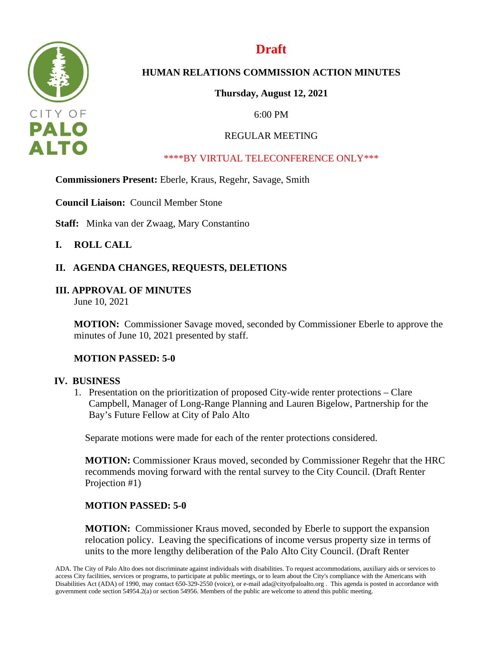

# **Draft**

# **HUMAN RELATIONS COMMISSION ACTION MINUTES**

**Thursday, August 12, 2021**

6:00 PM

# REGULAR MEETING

## \*\*\*\*BY VIRTUAL TELECONFERENCE ONLY\*\*\*

**Commissioners Present:** Eberle, Kraus, Regehr, Savage, Smith

**Council Liaison:** Council Member Stone

**Staff:** Minka van der Zwaag, Mary Constantino

## **I. ROLL CALL**

# **II. AGENDA CHANGES, REQUESTS, DELETIONS**

## **III. APPROVAL OF MINUTES**

June 10, 2021

**MOTION:** Commissioner Savage moved, seconded by Commissioner Eberle to approve the minutes of June 10, 2021 presented by staff.

## **MOTION PASSED: 5-0**

### **IV. BUSINESS**

1. Presentation on the prioritization of proposed City-wide renter protections – Clare Campbell, Manager of Long-Range Planning and Lauren Bigelow, Partnership for the Bay's Future Fellow at City of Palo Alto

Separate motions were made for each of the renter protections considered.

**MOTION:** Commissioner Kraus moved, seconded by Commissioner Regehr that the HRC recommends moving forward with the rental survey to the City Council. (Draft Renter Projection #1)

## **MOTION PASSED: 5-0**

**MOTION:** Commissioner Kraus moved, seconded by Eberle to support the expansion relocation policy. Leaving the specifications of income versus property size in terms of units to the more lengthy deliberation of the Palo Alto City Council. (Draft Renter

ADA. The City of Palo Alto does not discriminate against individuals with disabilities. To request accommodations, auxiliary aids or services to access City facilities, services or programs, to participate at public meetings, or to learn about the City's compliance with the Americans with Disabilities Act (ADA) of 1990, may contact 650-329-2550 (voice), or e-mail ada@cityofpaloalto.org . This agenda is posted in accordance with government code section 54954.2(a) or section 54956. Members of the public are welcome to attend this public meeting.